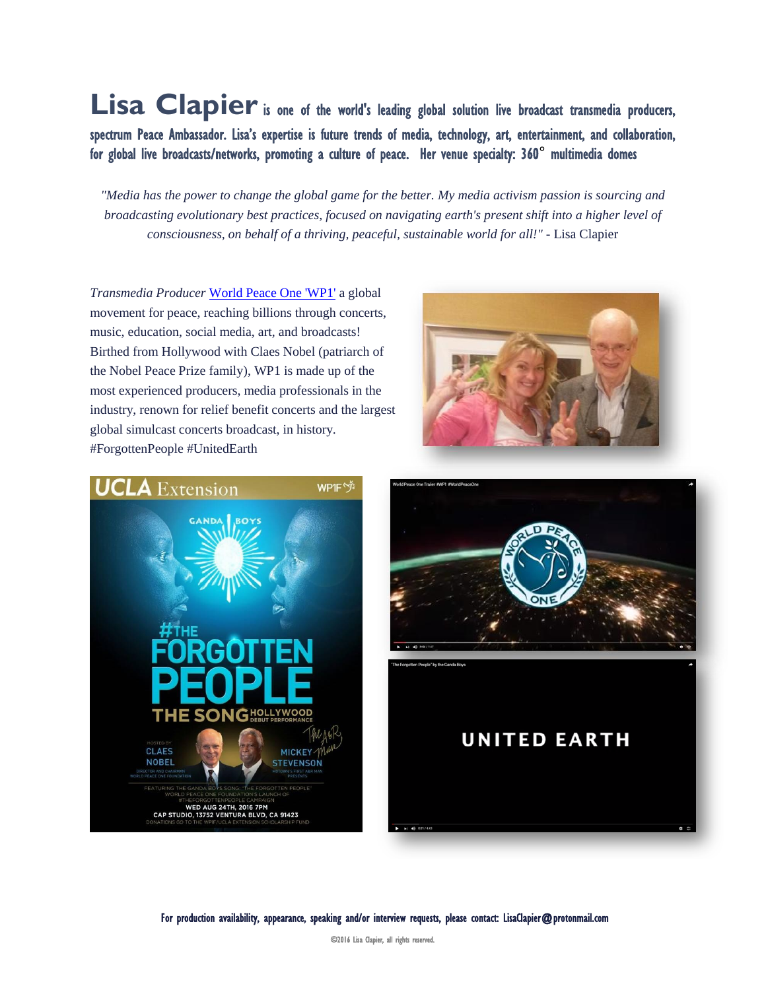Lisa Clapier is one of the world's leading global solution live broadcast transmedia producers, spectrum Peace Ambassador. Lisa's expertise is future trends of media, technology, art, entertainment, and collaboration, for global live broadcasts/networks, promoting a culture of peace. Her venue specialty: 360° multimedia domes

"Media has the power to change the global game for the better. My media activism passion is sourcing and *broadcasting evolutionary best practices, focused on navigating earth's present shift into a higher level of consciousness, on behalf of a thriving, peaceful, sustainable world for all!"* - Lisa Clapier

*Transmedia Producer* [World Peace One 'WP1'](http://www.worldpeaceone.com/) a global movement for peace, reaching billions through concerts, music, education, social media, art, and broadcasts! Birthed from Hollywood with Claes Nobel (patriarch of the Nobel Peace Prize family), WP1 is made up of the most experienced producers, media professionals in the industry, renown for relief benefit concerts and the largest global simulcast concerts broadcast, in history. #ForgottenPeople #UnitedEarth







For production availability, appearance, speaking and/or interview requests, please contact: LisaClapier@protonmail.com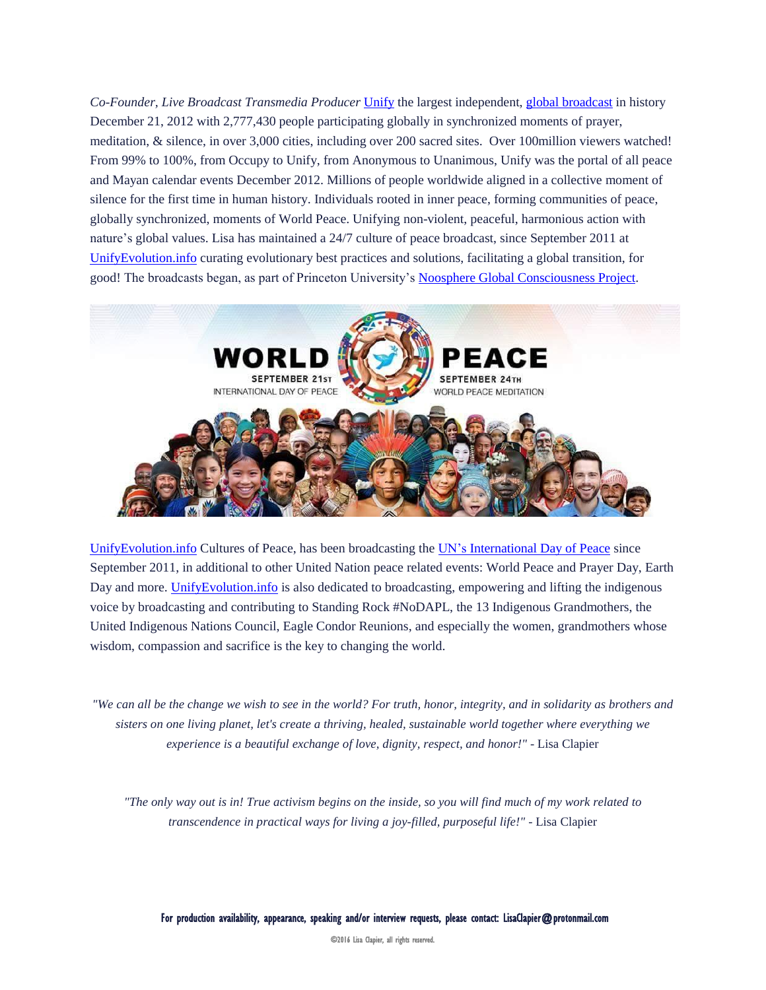*Co-Founder, Live Broadcast Transmedia Producer* [Unify](http://www.unify.org/) the largest independent, global [broadcast](http://livestre.am/132Dx) in history December 21, 2012 with 2,777,430 people participating globally in synchronized moments of prayer, meditation, & silence, in over 3,000 cities, including over 200 sacred sites. Over 100million viewers watched! From 99% to 100%, from Occupy to Unify, from Anonymous to Unanimous, Unify was the portal of all peace and Mayan calendar events December 2012. Millions of people worldwide aligned in a collective moment of silence for the first time in human history. Individuals rooted in inner peace, forming communities of peace, globally synchronized, moments of World Peace. Unifying non-violent, peaceful, harmonious action with nature's global values. Lisa has maintained a 24/7 culture of peace broadcast, since September 2011 at [UnifyEvolution.info](http://www.unifyevolution.info/) curating evolutionary best practices and solutions, facilitating a global transition, for good! The broadcasts began, as part of Princeton University's [Noosphere Global Consciousness Project.](http://noosphere.princeton.edu/)



[UnifyEvolution.info](http://www.unifyevolution.info/) Cultures of Peace, has been broadcasting the UN's [International](http://internationaldayofpeace.org/) Day of Peace since September 2011, in additional to other United Nation peace related events: World Peace and Prayer Day, Earth Day and more. Unify Evolution. info is also dedicated to broadcasting, empowering and lifting the indigenous voice by broadcasting and contributing to Standing Rock #NoDAPL, the 13 Indigenous Grandmothers, the United Indigenous Nations Council, Eagle Condor Reunions, and especially the women, grandmothers whose wisdom, compassion and sacrifice is the key to changing the world.

"We can all be the change we wish to see in the world? For truth, honor, integrity, and in solidarity as brothers and *sisters on one living planet, let's create a thriving, healed, sustainable world together where everything we experience is a beautiful exchange of love, dignity, respect, and honor!"* - Lisa Clapier

"The only way out is in! True activism begins on the inside, so you will find much of my work related to *transcendence in practical ways for living a joy-filled, purposeful life!"* - Lisa Clapier

For production availability, appearance, speaking and/or interview requests, please contact: LisaClapier@protonmail.com

©2016 Lisa Clapier, all rights reserved.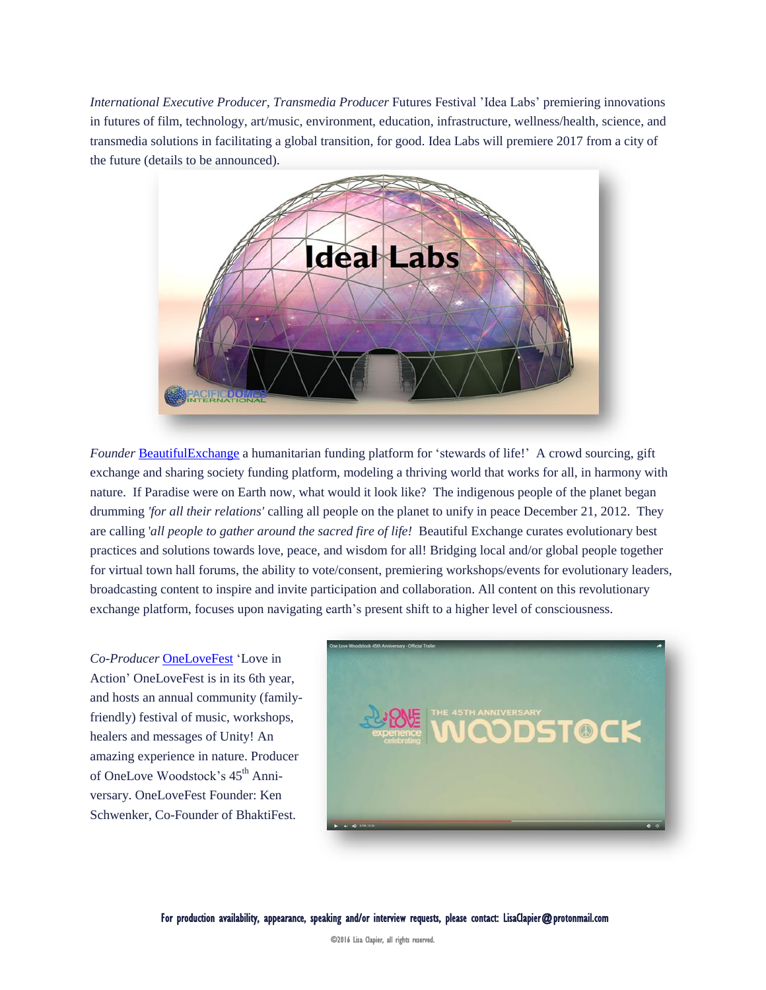*International Executive Producer, Transmedia Producer* Futures Festival 'Idea Labs' premiering innovations in futures of film, technology, art/music, environment, education, infrastructure, wellness/health, science, and transmedia solutions in facilitating a global transition, for good. Idea Labs will premiere 2017 from a city of the future (details to be announced).



*Founder* [BeautifulExchange](http://www.unifyevolution.info/beautifulexchange/) a humanitarian funding platform for 'stewards of life!' A crowd sourcing, gift exchange and sharing society funding platform, modeling a thriving world that works for all, in harmony with nature. If Paradise were on Earth now, what would it look like? The indigenous people of the planet began drumming *'for all their relations'* calling all people on the planet to unify in peace December 21, 2012. They are calling '*all people to gather around the sacred fire of life!* Beautiful Exchange curates evolutionary best practices and solutions towards love, peace, and wisdom for all! Bridging local and/or global people together for virtual town hall forums, the ability to vote/consent, premiering workshops/events for evolutionary leaders, broadcasting content to inspire and invite participation and collaboration. All content on this revolutionary exchange platform, focuses upon navigating earth's present shift to a higher level of consciousness.

*Co-Producer* [OneLoveFest](http://www.onelovefest.com/) 'Love in Action' OneLoveFest is in its 6th year, and hosts an annual community (familyfriendly) festival of music, workshops, healers and messages of Unity! An amazing experience in nature. Producer of OneLove Woodstock's 45<sup>th</sup> Anniversary. OneLoveFest Founder: Ken Schwenker, Co-Founder of BhaktiFest.



For production availability, appearance, speaking and/or interview requests, please contact: LisaClapier@protonmail.com